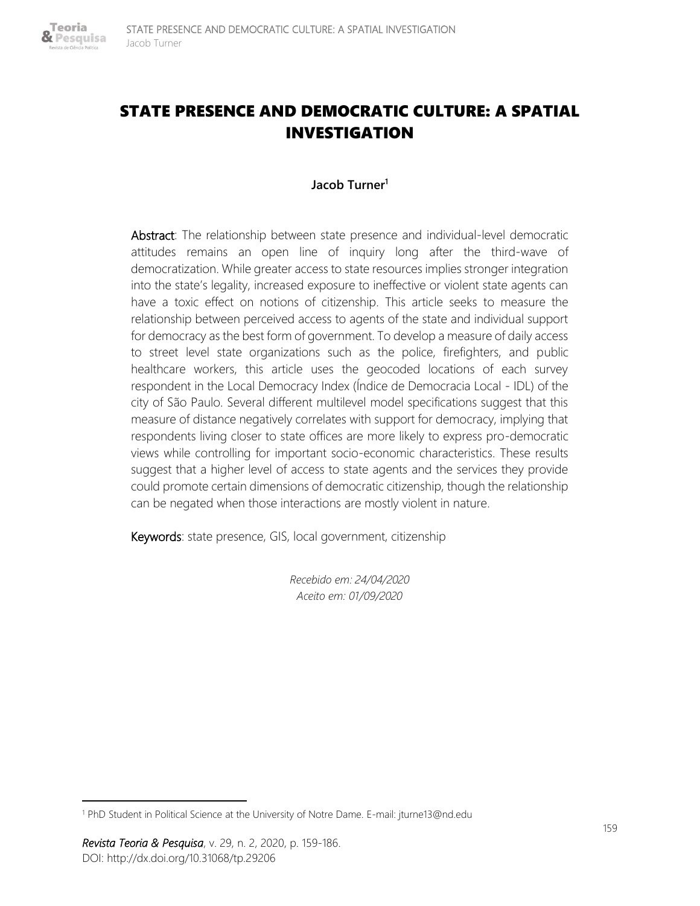

# STATE PRESENCE AND DEMOCRATIC CULTURE: A SPATIAL INVESTIGATION

### **Jacob Turner<sup>1</sup>**

Abstract: The relationship between state presence and individual-level democratic attitudes remains an open line of inquiry long after the third-wave of democratization. While greater access to state resources implies stronger integration into the state's legality, increased exposure to ineffective or violent state agents can have a toxic effect on notions of citizenship. This article seeks to measure the relationship between perceived access to agents of the state and individual support for democracy as the best form of government. To develop a measure of daily access to street level state organizations such as the police, firefighters, and public healthcare workers, this article uses the geocoded locations of each survey respondent in the Local Democracy Index (Índice de Democracia Local - IDL) of the city of São Paulo. Several different multilevel model specifications suggest that this measure of distance negatively correlates with support for democracy, implying that respondents living closer to state offices are more likely to express pro-democratic views while controlling for important socio-economic characteristics. These results suggest that a higher level of access to state agents and the services they provide could promote certain dimensions of democratic citizenship, though the relationship can be negated when those interactions are mostly violent in nature.

Keywords: state presence, GIS, local government, citizenship

*Recebido em: 24/04/2020 Aceito em: 01/09/2020*

<sup>1</sup> PhD Student in Political Science at the University of Notre Dame. E-mail: jturne13@nd.edu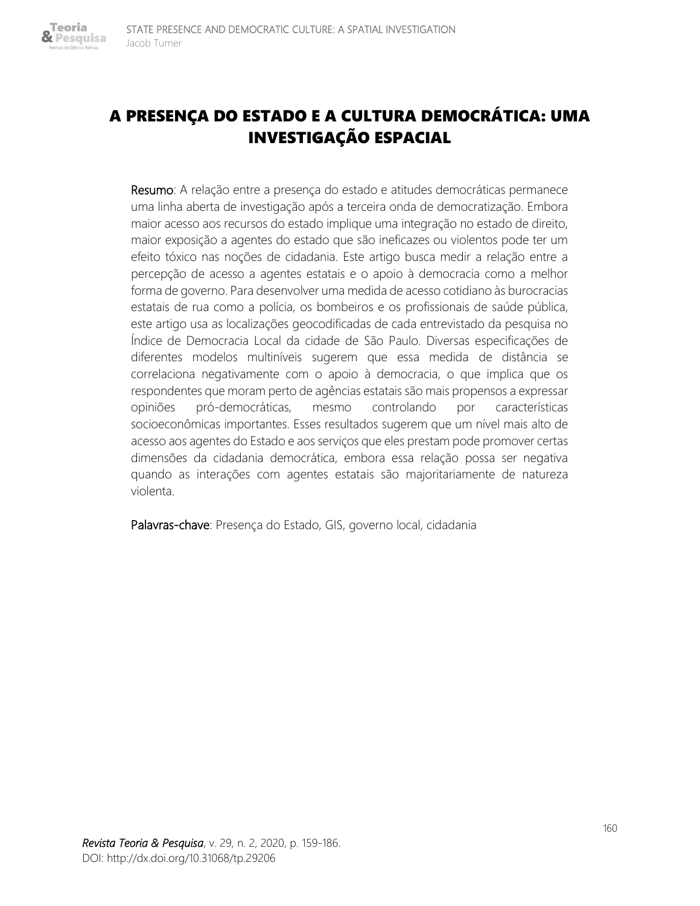# A PRESENÇA DO ESTADO E A CULTURA DEMOCRÁTICA: UMA INVESTIGAÇÃO ESPACIAL

Resumo: A relação entre a presença do estado e atitudes democráticas permanece uma linha aberta de investigação após a terceira onda de democratização. Embora maior acesso aos recursos do estado implique uma integração no estado de direito, maior exposição a agentes do estado que são ineficazes ou violentos pode ter um efeito tóxico nas noções de cidadania. Este artigo busca medir a relação entre a percepção de acesso a agentes estatais e o apoio à democracia como a melhor forma de governo. Para desenvolver uma medida de acesso cotidiano às burocracias estatais de rua como a polícia, os bombeiros e os profissionais de saúde pública, este artigo usa as localizações geocodificadas de cada entrevistado da pesquisa no Índice de Democracia Local da cidade de São Paulo. Diversas especificações de diferentes modelos multiníveis sugerem que essa medida de distância se correlaciona negativamente com o apoio à democracia, o que implica que os respondentes que moram perto de agências estatais são mais propensos a expressar opiniões pró-democráticas, mesmo controlando por características socioeconômicas importantes. Esses resultados sugerem que um nível mais alto de acesso aos agentes do Estado e aos serviços que eles prestam pode promover certas dimensões da cidadania democrática, embora essa relação possa ser negativa quando as interações com agentes estatais são majoritariamente de natureza violenta.

Palavras-chave: Presença do Estado, GIS, governo local, cidadania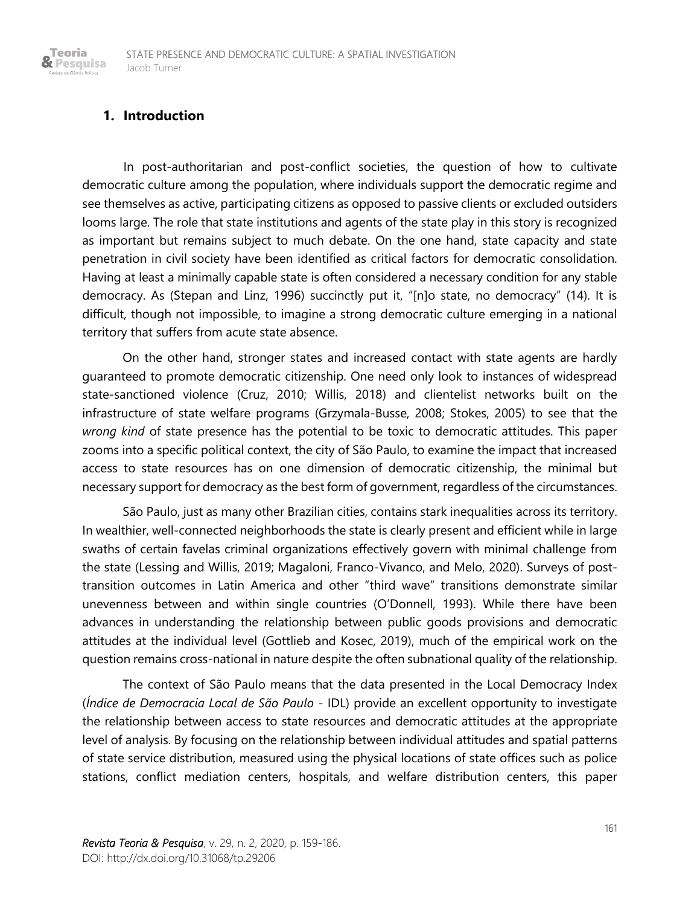# **1. Introduction**

Teoria & Pesquisa

> In post-authoritarian and post-conflict societies, the question of how to cultivate democratic culture among the population, where individuals support the democratic regime and see themselves as active, participating citizens as opposed to passive clients or excluded outsiders looms large. The role that state institutions and agents of the state play in this story is recognized as important but remains subject to much debate. On the one hand, state capacity and state penetration in civil society have been identified as critical factors for democratic consolidation. Having at least a minimally capable state is often considered a necessary condition for any stable democracy. As (Stepan and Linz, 1996) succinctly put it, "[n]o state, no democracy" (14). It is difficult, though not impossible, to imagine a strong democratic culture emerging in a national territory that suffers from acute state absence.

> On the other hand, stronger states and increased contact with state agents are hardly guaranteed to promote democratic citizenship. One need only look to instances of widespread state-sanctioned violence (Cruz, 2010; Willis, 2018) and clientelist networks built on the infrastructure of state welfare programs (Grzymala-Busse, 2008; Stokes, 2005) to see that the *wrong kind* of state presence has the potential to be toxic to democratic attitudes. This paper zooms into a specific political context, the city of São Paulo, to examine the impact that increased access to state resources has on one dimension of democratic citizenship, the minimal but necessary support for democracy as the best form of government, regardless of the circumstances.

> São Paulo, just as many other Brazilian cities, contains stark inequalities across its territory. In wealthier, well-connected neighborhoods the state is clearly present and efficient while in large swaths of certain favelas criminal organizations effectively govern with minimal challenge from the state (Lessing and Willis, 2019; Magaloni, Franco-Vivanco, and Melo, 2020). Surveys of posttransition outcomes in Latin America and other "third wave" transitions demonstrate similar unevenness between and within single countries (O'Donnell, 1993). While there have been advances in understanding the relationship between public goods provisions and democratic attitudes at the individual level (Gottlieb and Kosec, 2019), much of the empirical work on the question remains cross-national in nature despite the often subnational quality of the relationship.

> The context of São Paulo means that the data presented in the Local Democracy Index (*Índice de Democracia Local de São Paulo* - IDL) provide an excellent opportunity to investigate the relationship between access to state resources and democratic attitudes at the appropriate level of analysis. By focusing on the relationship between individual attitudes and spatial patterns of state service distribution, measured using the physical locations of state offices such as police stations, conflict mediation centers, hospitals, and welfare distribution centers, this paper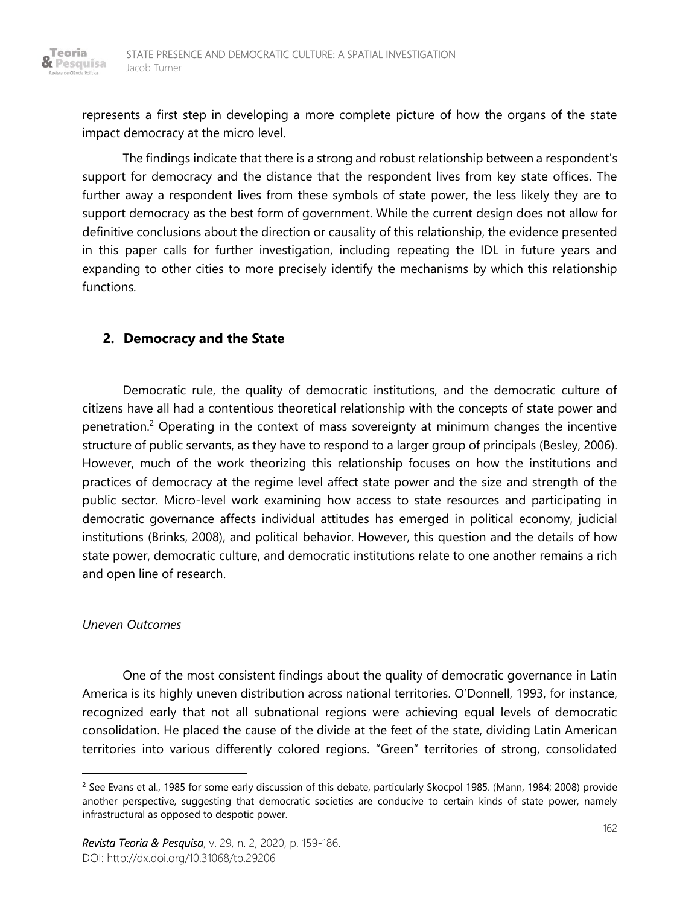

represents a first step in developing a more complete picture of how the organs of the state impact democracy at the micro level.

The findings indicate that there is a strong and robust relationship between a respondent's support for democracy and the distance that the respondent lives from key state offices. The further away a respondent lives from these symbols of state power, the less likely they are to support democracy as the best form of government. While the current design does not allow for definitive conclusions about the direction or causality of this relationship, the evidence presented in this paper calls for further investigation, including repeating the IDL in future years and expanding to other cities to more precisely identify the mechanisms by which this relationship functions.

# **2. Democracy and the State**

Democratic rule, the quality of democratic institutions, and the democratic culture of citizens have all had a contentious theoretical relationship with the concepts of state power and penetration.<sup>2</sup> Operating in the context of mass sovereignty at minimum changes the incentive structure of public servants, as they have to respond to a larger group of principals (Besley, 2006). However, much of the work theorizing this relationship focuses on how the institutions and practices of democracy at the regime level affect state power and the size and strength of the public sector. Micro-level work examining how access to state resources and participating in democratic governance affects individual attitudes has emerged in political economy, judicial institutions (Brinks, 2008), and political behavior. However, this question and the details of how state power, democratic culture, and democratic institutions relate to one another remains a rich and open line of research.

#### *Uneven Outcomes*

One of the most consistent findings about the quality of democratic governance in Latin America is its highly uneven distribution across national territories. O'Donnell, 1993, for instance, recognized early that not all subnational regions were achieving equal levels of democratic consolidation. He placed the cause of the divide at the feet of the state, dividing Latin American territories into various differently colored regions. "Green" territories of strong, consolidated

<sup>&</sup>lt;sup>2</sup> See Evans et al., 1985 for some early discussion of this debate, particularly Skocpol 1985. (Mann, 1984; 2008) provide another perspective, suggesting that democratic societies are conducive to certain kinds of state power, namely infrastructural as opposed to despotic power.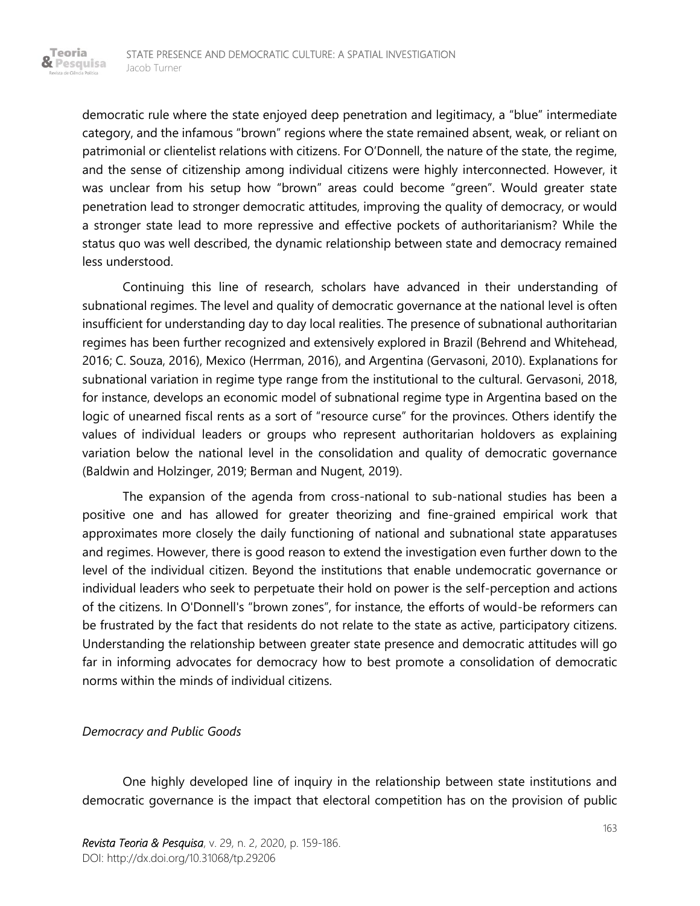Teoria & Pesquisa

> democratic rule where the state enjoyed deep penetration and legitimacy, a "blue" intermediate category, and the infamous "brown" regions where the state remained absent, weak, or reliant on patrimonial or clientelist relations with citizens. For O'Donnell, the nature of the state, the regime, and the sense of citizenship among individual citizens were highly interconnected. However, it was unclear from his setup how "brown" areas could become "green". Would greater state penetration lead to stronger democratic attitudes, improving the quality of democracy, or would a stronger state lead to more repressive and effective pockets of authoritarianism? While the status quo was well described, the dynamic relationship between state and democracy remained less understood.

> Continuing this line of research, scholars have advanced in their understanding of subnational regimes. The level and quality of democratic governance at the national level is often insufficient for understanding day to day local realities. The presence of subnational authoritarian regimes has been further recognized and extensively explored in Brazil (Behrend and Whitehead, 2016; C. Souza, 2016), Mexico (Herrman, 2016), and Argentina (Gervasoni, 2010). Explanations for subnational variation in regime type range from the institutional to the cultural. Gervasoni, 2018, for instance, develops an economic model of subnational regime type in Argentina based on the logic of unearned fiscal rents as a sort of "resource curse" for the provinces. Others identify the values of individual leaders or groups who represent authoritarian holdovers as explaining variation below the national level in the consolidation and quality of democratic governance (Baldwin and Holzinger, 2019; Berman and Nugent, 2019).

> The expansion of the agenda from cross-national to sub-national studies has been a positive one and has allowed for greater theorizing and fine-grained empirical work that approximates more closely the daily functioning of national and subnational state apparatuses and regimes. However, there is good reason to extend the investigation even further down to the level of the individual citizen. Beyond the institutions that enable undemocratic governance or individual leaders who seek to perpetuate their hold on power is the self-perception and actions of the citizens. In O'Donnell's "brown zones", for instance, the efforts of would-be reformers can be frustrated by the fact that residents do not relate to the state as active, participatory citizens. Understanding the relationship between greater state presence and democratic attitudes will go far in informing advocates for democracy how to best promote a consolidation of democratic norms within the minds of individual citizens.

#### *Democracy and Public Goods*

One highly developed line of inquiry in the relationship between state institutions and democratic governance is the impact that electoral competition has on the provision of public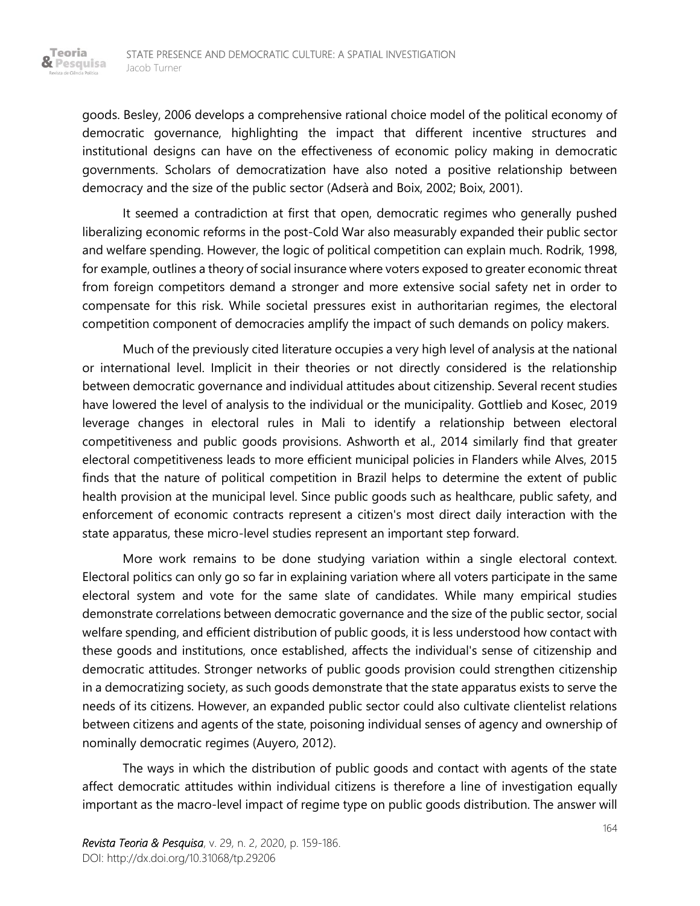goods. Besley, 2006 develops a comprehensive rational choice model of the political economy of democratic governance, highlighting the impact that different incentive structures and institutional designs can have on the effectiveness of economic policy making in democratic governments. Scholars of democratization have also noted a positive relationship between democracy and the size of the public sector (Adserà and Boix, 2002; Boix, 2001).

It seemed a contradiction at first that open, democratic regimes who generally pushed liberalizing economic reforms in the post-Cold War also measurably expanded their public sector and welfare spending. However, the logic of political competition can explain much. Rodrik, 1998, for example, outlines a theory of social insurance where voters exposed to greater economic threat from foreign competitors demand a stronger and more extensive social safety net in order to compensate for this risk. While societal pressures exist in authoritarian regimes, the electoral competition component of democracies amplify the impact of such demands on policy makers.

Much of the previously cited literature occupies a very high level of analysis at the national or international level. Implicit in their theories or not directly considered is the relationship between democratic governance and individual attitudes about citizenship. Several recent studies have lowered the level of analysis to the individual or the municipality. Gottlieb and Kosec, 2019 leverage changes in electoral rules in Mali to identify a relationship between electoral competitiveness and public goods provisions. Ashworth et al., 2014 similarly find that greater electoral competitiveness leads to more efficient municipal policies in Flanders while Alves, 2015 finds that the nature of political competition in Brazil helps to determine the extent of public health provision at the municipal level. Since public goods such as healthcare, public safety, and enforcement of economic contracts represent a citizen's most direct daily interaction with the state apparatus, these micro-level studies represent an important step forward.

More work remains to be done studying variation within a single electoral context. Electoral politics can only go so far in explaining variation where all voters participate in the same electoral system and vote for the same slate of candidates. While many empirical studies demonstrate correlations between democratic governance and the size of the public sector, social welfare spending, and efficient distribution of public goods, it is less understood how contact with these goods and institutions, once established, affects the individual's sense of citizenship and democratic attitudes. Stronger networks of public goods provision could strengthen citizenship in a democratizing society, as such goods demonstrate that the state apparatus exists to serve the needs of its citizens. However, an expanded public sector could also cultivate clientelist relations between citizens and agents of the state, poisoning individual senses of agency and ownership of nominally democratic regimes (Auyero, 2012).

The ways in which the distribution of public goods and contact with agents of the state affect democratic attitudes within individual citizens is therefore a line of investigation equally important as the macro-level impact of regime type on public goods distribution. The answer will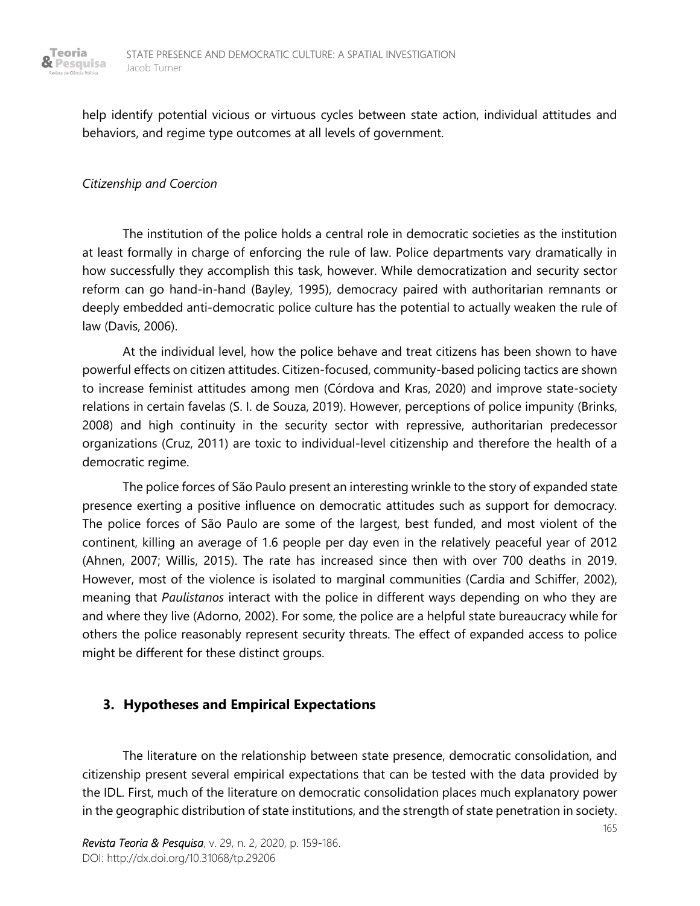

help identify potential vicious or virtuous cycles between state action, individual attitudes and behaviors, and regime type outcomes at all levels of government.

#### *Citizenship and Coercion*

The institution of the police holds a central role in democratic societies as the institution at least formally in charge of enforcing the rule of law. Police departments vary dramatically in how successfully they accomplish this task, however. While democratization and security sector reform can go hand-in-hand (Bayley, 1995), democracy paired with authoritarian remnants or deeply embedded anti-democratic police culture has the potential to actually weaken the rule of law (Davis, 2006).

At the individual level, how the police behave and treat citizens has been shown to have powerful effects on citizen attitudes. Citizen-focused, community-based policing tactics are shown to increase feminist attitudes among men (Córdova and Kras, 2020) and improve state-society relations in certain favelas (S. I. de Souza, 2019). However, perceptions of police impunity (Brinks, 2008) and high continuity in the security sector with repressive, authoritarian predecessor organizations (Cruz, 2011) are toxic to individual-level citizenship and therefore the health of a democratic regime.

The police forces of São Paulo present an interesting wrinkle to the story of expanded state presence exerting a positive influence on democratic attitudes such as support for democracy. The police forces of São Paulo are some of the largest, best funded, and most violent of the continent, killing an average of 1.6 people per day even in the relatively peaceful year of 2012 (Ahnen, 2007; Willis, 2015). The rate has increased since then with over 700 deaths in 2019. However, most of the violence is isolated to marginal communities (Cardia and Schiffer, 2002), meaning that *Paulistanos* interact with the police in different ways depending on who they are and where they live (Adorno, 2002). For some, the police are a helpful state bureaucracy while for others the police reasonably represent security threats. The effect of expanded access to police might be different for these distinct groups.

# **3. Hypotheses and Empirical Expectations**

The literature on the relationship between state presence, democratic consolidation, and citizenship present several empirical expectations that can be tested with the data provided by the IDL. First, much of the literature on democratic consolidation places much explanatory power in the geographic distribution of state institutions, and the strength of state penetration in society.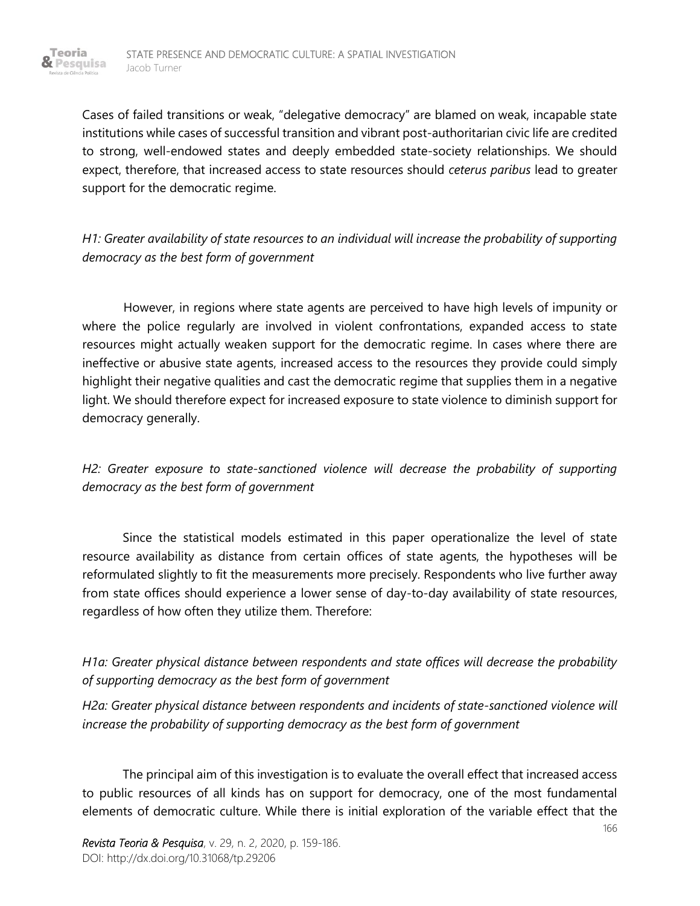Cases of failed transitions or weak, "delegative democracy" are blamed on weak, incapable state institutions while cases of successful transition and vibrant post-authoritarian civic life are credited to strong, well-endowed states and deeply embedded state-society relationships. We should expect, therefore, that increased access to state resources should *ceterus paribus* lead to greater support for the democratic regime.

*H1: Greater availability of state resources to an individual will increase the probability of supporting democracy as the best form of government*

However, in regions where state agents are perceived to have high levels of impunity or where the police regularly are involved in violent confrontations, expanded access to state resources might actually weaken support for the democratic regime. In cases where there are ineffective or abusive state agents, increased access to the resources they provide could simply highlight their negative qualities and cast the democratic regime that supplies them in a negative light. We should therefore expect for increased exposure to state violence to diminish support for democracy generally.

*H2: Greater exposure to state-sanctioned violence will decrease the probability of supporting democracy as the best form of government*

Since the statistical models estimated in this paper operationalize the level of state resource availability as distance from certain offices of state agents, the hypotheses will be reformulated slightly to fit the measurements more precisely. Respondents who live further away from state offices should experience a lower sense of day-to-day availability of state resources, regardless of how often they utilize them. Therefore:

*H1a: Greater physical distance between respondents and state offices will decrease the probability of supporting democracy as the best form of government*

*H2a: Greater physical distance between respondents and incidents of state-sanctioned violence will increase the probability of supporting democracy as the best form of government*

The principal aim of this investigation is to evaluate the overall effect that increased access to public resources of all kinds has on support for democracy, one of the most fundamental elements of democratic culture. While there is initial exploration of the variable effect that the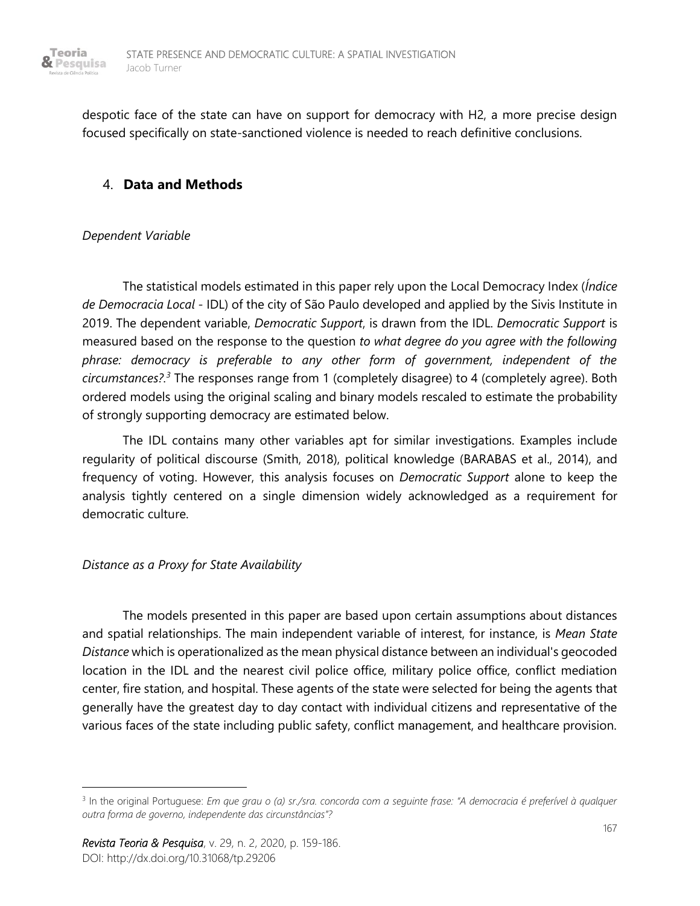

despotic face of the state can have on support for democracy with H2, a more precise design focused specifically on state-sanctioned violence is needed to reach definitive conclusions.

## 4. **Data and Methods**

#### *Dependent Variable*

The statistical models estimated in this paper rely upon the Local Democracy Index (*Índice de Democracia Local* - IDL) of the city of São Paulo developed and applied by the Sivis Institute in 2019. The dependent variable, *Democratic Support*, is drawn from the IDL. *Democratic Support* is measured based on the response to the question *to what degree do you agree with the following phrase: democracy is preferable to any other form of government, independent of the circumstances?.<sup>3</sup>* The responses range from 1 (completely disagree) to 4 (completely agree). Both ordered models using the original scaling and binary models rescaled to estimate the probability of strongly supporting democracy are estimated below.

The IDL contains many other variables apt for similar investigations. Examples include regularity of political discourse (Smith, 2018), political knowledge (BARABAS et al., 2014), and frequency of voting. However, this analysis focuses on *Democratic Support* alone to keep the analysis tightly centered on a single dimension widely acknowledged as a requirement for democratic culture.

#### *Distance as a Proxy for State Availability*

The models presented in this paper are based upon certain assumptions about distances and spatial relationships. The main independent variable of interest, for instance, is *Mean State Distance* which is operationalized as the mean physical distance between an individual's geocoded location in the IDL and the nearest civil police office, military police office, conflict mediation center, fire station, and hospital. These agents of the state were selected for being the agents that generally have the greatest day to day contact with individual citizens and representative of the various faces of the state including public safety, conflict management, and healthcare provision.

<sup>3</sup> In the original Portuguese: *Em que grau o (a) sr./sra. concorda com a seguinte frase: "A democracia é preferível à qualquer outra forma de governo, independente das circunstâncias"?*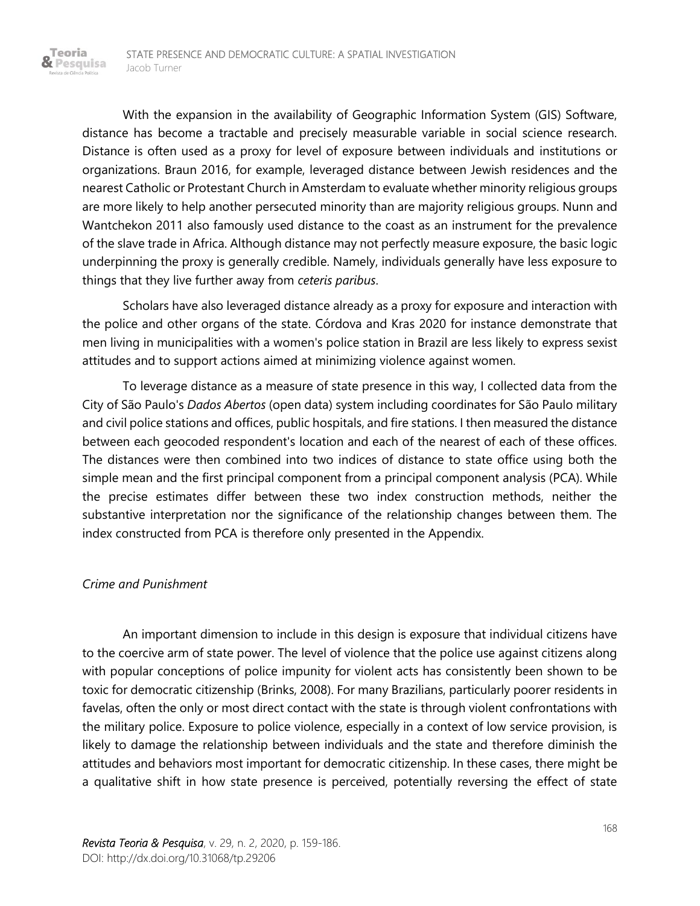With the expansion in the availability of Geographic Information System (GIS) Software, distance has become a tractable and precisely measurable variable in social science research. Distance is often used as a proxy for level of exposure between individuals and institutions or organizations. Braun 2016, for example, leveraged distance between Jewish residences and the nearest Catholic or Protestant Church in Amsterdam to evaluate whether minority religious groups are more likely to help another persecuted minority than are majority religious groups. Nunn and Wantchekon 2011 also famously used distance to the coast as an instrument for the prevalence of the slave trade in Africa. Although distance may not perfectly measure exposure, the basic logic underpinning the proxy is generally credible. Namely, individuals generally have less exposure to things that they live further away from *ceteris paribus*.

Scholars have also leveraged distance already as a proxy for exposure and interaction with the police and other organs of the state. Córdova and Kras 2020 for instance demonstrate that men living in municipalities with a women's police station in Brazil are less likely to express sexist attitudes and to support actions aimed at minimizing violence against women.

To leverage distance as a measure of state presence in this way, I collected data from the City of São Paulo's *Dados Abertos* (open data) system including coordinates for São Paulo military and civil police stations and offices, public hospitals, and fire stations. I then measured the distance between each geocoded respondent's location and each of the nearest of each of these offices. The distances were then combined into two indices of distance to state office using both the simple mean and the first principal component from a principal component analysis (PCA). While the precise estimates differ between these two index construction methods, neither the substantive interpretation nor the significance of the relationship changes between them. The index constructed from PCA is therefore only presented in the Appendix.

#### *Crime and Punishment*

Teoria & Pesquisa

> An important dimension to include in this design is exposure that individual citizens have to the coercive arm of state power. The level of violence that the police use against citizens along with popular conceptions of police impunity for violent acts has consistently been shown to be toxic for democratic citizenship (Brinks, 2008). For many Brazilians, particularly poorer residents in favelas, often the only or most direct contact with the state is through violent confrontations with the military police. Exposure to police violence, especially in a context of low service provision, is likely to damage the relationship between individuals and the state and therefore diminish the attitudes and behaviors most important for democratic citizenship. In these cases, there might be a qualitative shift in how state presence is perceived, potentially reversing the effect of state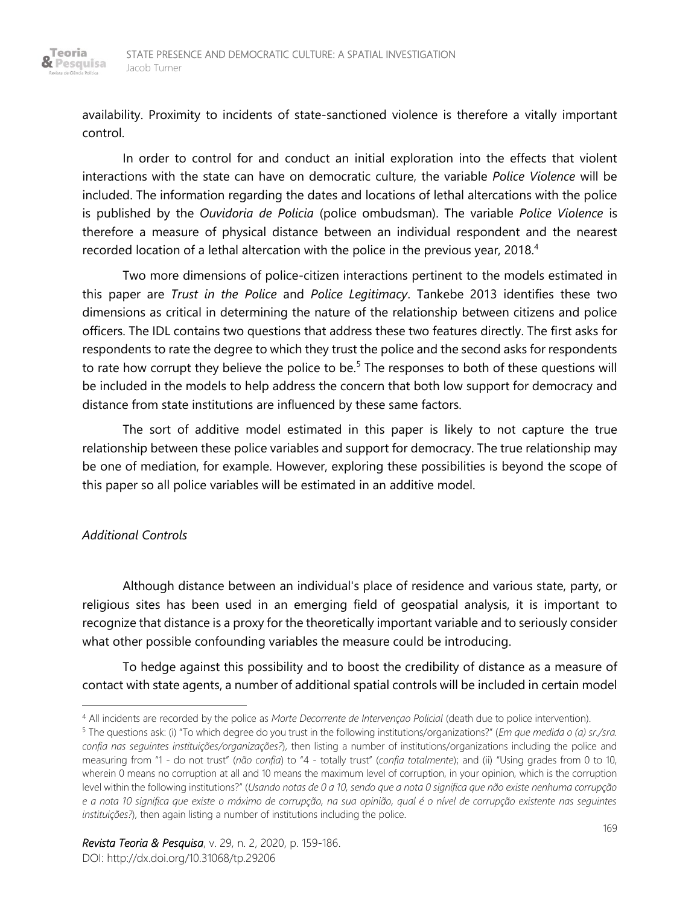availability. Proximity to incidents of state-sanctioned violence is therefore a vitally important control.

In order to control for and conduct an initial exploration into the effects that violent interactions with the state can have on democratic culture, the variable *Police Violence* will be included. The information regarding the dates and locations of lethal altercations with the police is published by the *Ouvidoria de Policia* (police ombudsman). The variable *Police Violence* is therefore a measure of physical distance between an individual respondent and the nearest recorded location of a lethal altercation with the police in the previous year, 2018. $4$ 

Two more dimensions of police-citizen interactions pertinent to the models estimated in this paper are *Trust in the Police* and *Police Legitimacy*. Tankebe 2013 identifies these two dimensions as critical in determining the nature of the relationship between citizens and police officers. The IDL contains two questions that address these two features directly. The first asks for respondents to rate the degree to which they trust the police and the second asks for respondents to rate how corrupt they believe the police to be.<sup>5</sup> The responses to both of these questions will be included in the models to help address the concern that both low support for democracy and distance from state institutions are influenced by these same factors.

The sort of additive model estimated in this paper is likely to not capture the true relationship between these police variables and support for democracy. The true relationship may be one of mediation, for example. However, exploring these possibilities is beyond the scope of this paper so all police variables will be estimated in an additive model.

### *Additional Controls*

Although distance between an individual's place of residence and various state, party, or religious sites has been used in an emerging field of geospatial analysis, it is important to recognize that distance is a proxy for the theoretically important variable and to seriously consider what other possible confounding variables the measure could be introducing.

To hedge against this possibility and to boost the credibility of distance as a measure of contact with state agents, a number of additional spatial controls will be included in certain model

<sup>4</sup> All incidents are recorded by the police as *Morte Decorrente de Intervençao Policial* (death due to police intervention).

<sup>5</sup> The questions ask: (i) "To which degree do you trust in the following institutions/organizations?" (*Em que medida o (a) sr./sra. confia nas seguintes instituições/organizações?*), then listing a number of institutions/organizations including the police and measuring from "1 - do not trust" (*não confia*) to "4 - totally trust" (*confia totalmente*); and (ii) "Using grades from 0 to 10, wherein 0 means no corruption at all and 10 means the maximum level of corruption, in your opinion, which is the corruption level within the following institutions?" (*Usando notas de 0 a 10, sendo que a nota 0 significa que não existe nenhuma corrupção e a nota 10 significa que existe o máximo de corrupção, na sua opinião, qual é o nível de corrupção existente nas seguintes instituições?*), then again listing a number of institutions including the police.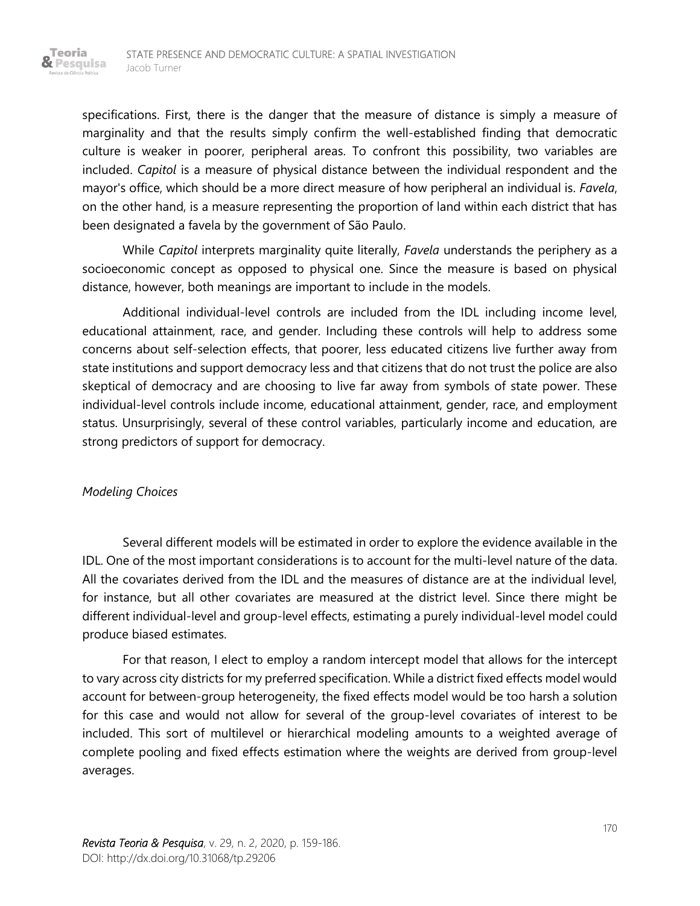specifications. First, there is the danger that the measure of distance is simply a measure of marginality and that the results simply confirm the well-established finding that democratic culture is weaker in poorer, peripheral areas. To confront this possibility, two variables are included. *Capitol* is a measure of physical distance between the individual respondent and the mayor's office, which should be a more direct measure of how peripheral an individual is. *Favela*, on the other hand, is a measure representing the proportion of land within each district that has been designated a favela by the government of São Paulo.

While *Capitol* interprets marginality quite literally, *Favela* understands the periphery as a socioeconomic concept as opposed to physical one. Since the measure is based on physical distance, however, both meanings are important to include in the models.

Additional individual-level controls are included from the IDL including income level, educational attainment, race, and gender. Including these controls will help to address some concerns about self-selection effects, that poorer, less educated citizens live further away from state institutions and support democracy less and that citizens that do not trust the police are also skeptical of democracy and are choosing to live far away from symbols of state power. These individual-level controls include income, educational attainment, gender, race, and employment status. Unsurprisingly, several of these control variables, particularly income and education, are strong predictors of support for democracy.

#### *Modeling Choices*

Teoria & Pesquisa

> Several different models will be estimated in order to explore the evidence available in the IDL. One of the most important considerations is to account for the multi-level nature of the data. All the covariates derived from the IDL and the measures of distance are at the individual level, for instance, but all other covariates are measured at the district level. Since there might be different individual-level and group-level effects, estimating a purely individual-level model could produce biased estimates.

> For that reason, I elect to employ a random intercept model that allows for the intercept to vary across city districts for my preferred specification. While a district fixed effects model would account for between-group heterogeneity, the fixed effects model would be too harsh a solution for this case and would not allow for several of the group-level covariates of interest to be included. This sort of multilevel or hierarchical modeling amounts to a weighted average of complete pooling and fixed effects estimation where the weights are derived from group-level averages.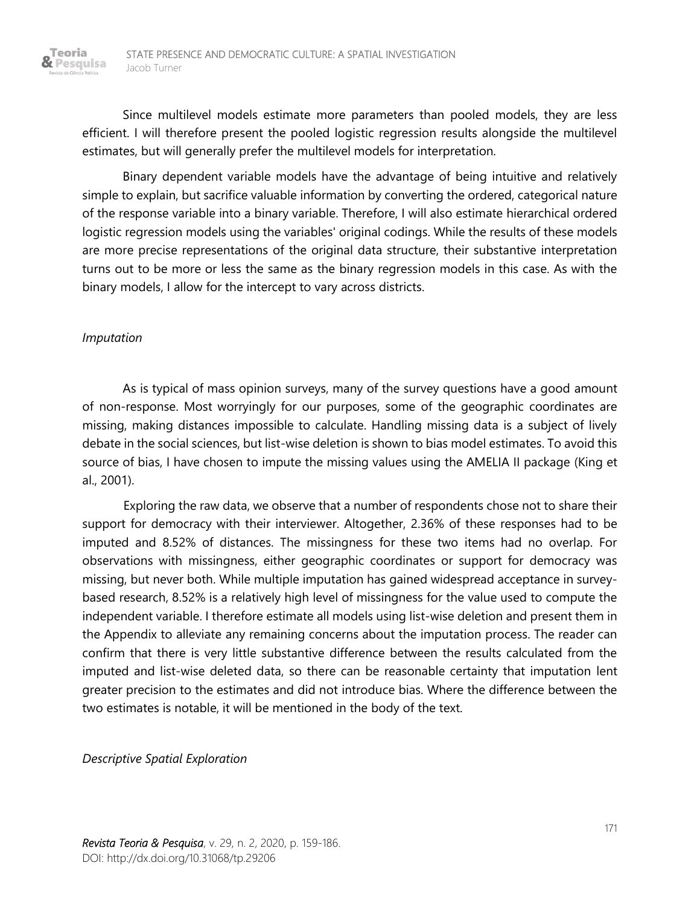Since multilevel models estimate more parameters than pooled models, they are less efficient. I will therefore present the pooled logistic regression results alongside the multilevel estimates, but will generally prefer the multilevel models for interpretation.

Binary dependent variable models have the advantage of being intuitive and relatively simple to explain, but sacrifice valuable information by converting the ordered, categorical nature of the response variable into a binary variable. Therefore, I will also estimate hierarchical ordered logistic regression models using the variables' original codings. While the results of these models are more precise representations of the original data structure, their substantive interpretation turns out to be more or less the same as the binary regression models in this case. As with the binary models, I allow for the intercept to vary across districts.

#### *Imputation*

Teoria

As is typical of mass opinion surveys, many of the survey questions have a good amount of non-response. Most worryingly for our purposes, some of the geographic coordinates are missing, making distances impossible to calculate. Handling missing data is a subject of lively debate in the social sciences, but list-wise deletion is shown to bias model estimates. To avoid this source of bias, I have chosen to impute the missing values using the AMELIA II package (King et al., 2001).

Exploring the raw data, we observe that a number of respondents chose not to share their support for democracy with their interviewer. Altogether, 2.36% of these responses had to be imputed and 8.52% of distances. The missingness for these two items had no overlap. For observations with missingness, either geographic coordinates or support for democracy was missing, but never both. While multiple imputation has gained widespread acceptance in surveybased research, 8.52% is a relatively high level of missingness for the value used to compute the independent variable. I therefore estimate all models using list-wise deletion and present them in the Appendix to alleviate any remaining concerns about the imputation process. The reader can confirm that there is very little substantive difference between the results calculated from the imputed and list-wise deleted data, so there can be reasonable certainty that imputation lent greater precision to the estimates and did not introduce bias. Where the difference between the two estimates is notable, it will be mentioned in the body of the text.

*Descriptive Spatial Exploration*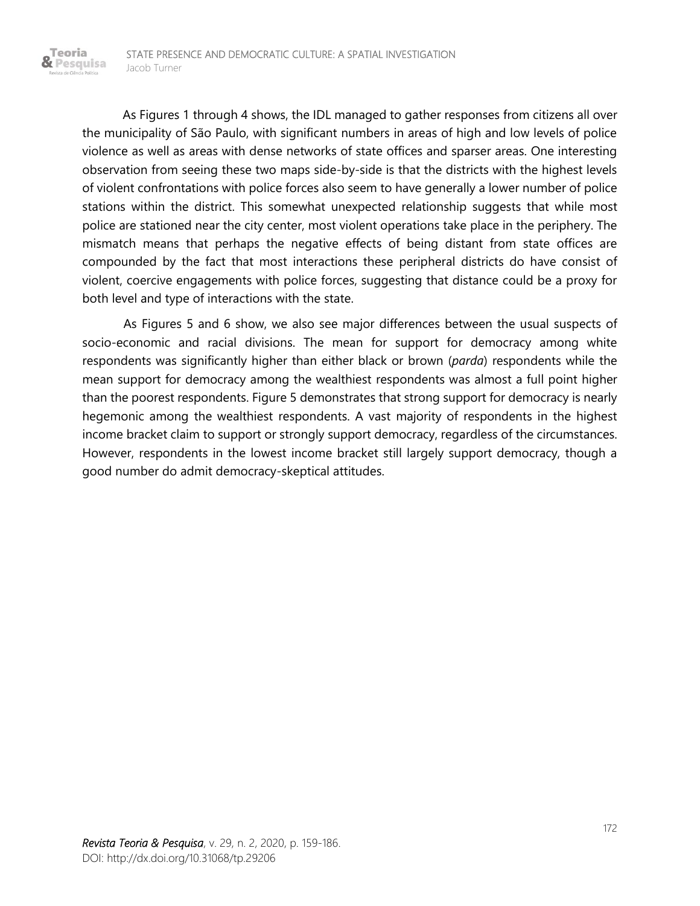Teoria

As Figures 1 through 4 shows, the IDL managed to gather responses from citizens all over the municipality of São Paulo, with significant numbers in areas of high and low levels of police violence as well as areas with dense networks of state offices and sparser areas. One interesting observation from seeing these two maps side-by-side is that the districts with the highest levels of violent confrontations with police forces also seem to have generally a lower number of police stations within the district. This somewhat unexpected relationship suggests that while most police are stationed near the city center, most violent operations take place in the periphery. The mismatch means that perhaps the negative effects of being distant from state offices are compounded by the fact that most interactions these peripheral districts do have consist of violent, coercive engagements with police forces, suggesting that distance could be a proxy for both level and type of interactions with the state.

As Figures 5 and 6 show, we also see major differences between the usual suspects of socio-economic and racial divisions. The mean for support for democracy among white respondents was significantly higher than either black or brown (*parda*) respondents while the mean support for democracy among the wealthiest respondents was almost a full point higher than the poorest respondents. Figure 5 demonstrates that strong support for democracy is nearly hegemonic among the wealthiest respondents. A vast majority of respondents in the highest income bracket claim to support or strongly support democracy, regardless of the circumstances. However, respondents in the lowest income bracket still largely support democracy, though a good number do admit democracy-skeptical attitudes.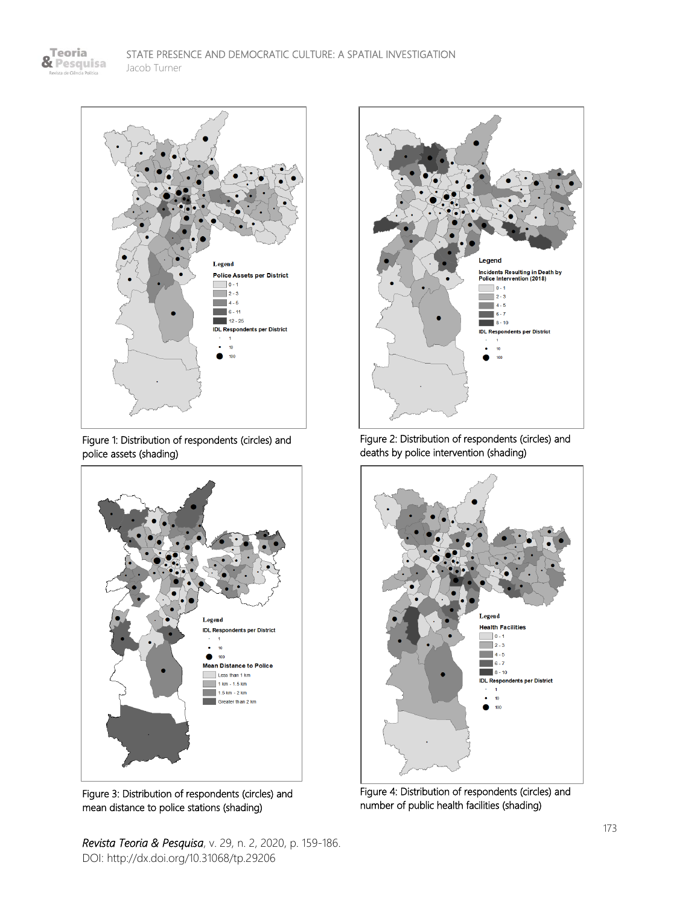& Pesquisa

Teoria

de Ciên



Figure 1: Distribution of respondents (circles) and police assets (shading)



Figure 3: Distribution of respondents (circles) and mean distance to police stations (shading)

*Revista Teoria & Pesquisa*, v. 29, n. 2, 2020, p. 159-186. DOI: http://dx.doi.org/10.31068/tp.29206



Figure 2: Distribution of respondents (circles) and deaths by police intervention (shading)



Figure 4: Distribution of respondents (circles) and number of public health facilities (shading)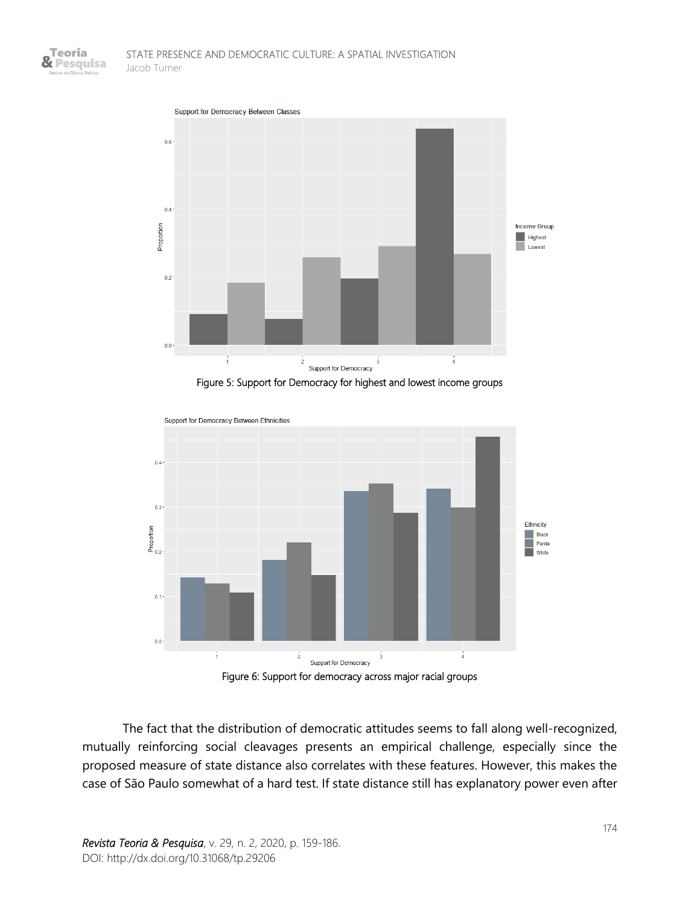



Figure 5: Support for Democracy for highest and lowest income groups



Figure 6: Support for democracy across major racial groups

The fact that the distribution of democratic attitudes seems to fall along well-recognized, mutually reinforcing social cleavages presents an empirical challenge, especially since the proposed measure of state distance also correlates with these features. However, this makes the case of São Paulo somewhat of a hard test. If state distance still has explanatory power even after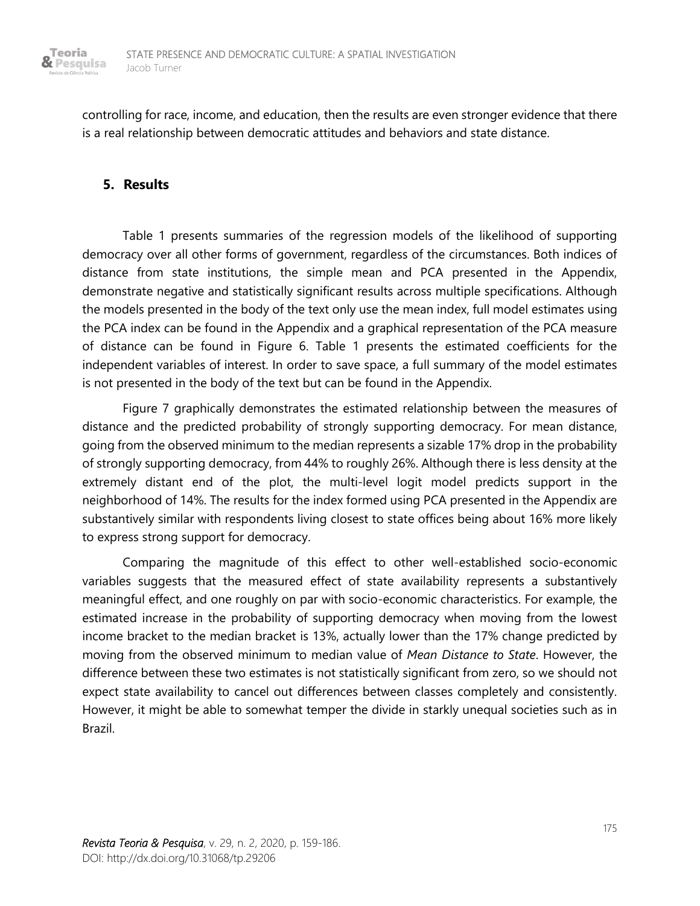

controlling for race, income, and education, then the results are even stronger evidence that there is a real relationship between democratic attitudes and behaviors and state distance.

# **5. Results**

Table 1 presents summaries of the regression models of the likelihood of supporting democracy over all other forms of government, regardless of the circumstances. Both indices of distance from state institutions, the simple mean and PCA presented in the Appendix, demonstrate negative and statistically significant results across multiple specifications. Although the models presented in the body of the text only use the mean index, full model estimates using the PCA index can be found in the Appendix and a graphical representation of the PCA measure of distance can be found in Figure 6. Table 1 presents the estimated coefficients for the independent variables of interest. In order to save space, a full summary of the model estimates is not presented in the body of the text but can be found in the Appendix.

Figure 7 graphically demonstrates the estimated relationship between the measures of distance and the predicted probability of strongly supporting democracy. For mean distance, going from the observed minimum to the median represents a sizable 17% drop in the probability of strongly supporting democracy, from 44% to roughly 26%. Although there is less density at the extremely distant end of the plot, the multi-level logit model predicts support in the neighborhood of 14%. The results for the index formed using PCA presented in the Appendix are substantively similar with respondents living closest to state offices being about 16% more likely to express strong support for democracy.

Comparing the magnitude of this effect to other well-established socio-economic variables suggests that the measured effect of state availability represents a substantively meaningful effect, and one roughly on par with socio-economic characteristics. For example, the estimated increase in the probability of supporting democracy when moving from the lowest income bracket to the median bracket is 13%, actually lower than the 17% change predicted by moving from the observed minimum to median value of *Mean Distance to State*. However, the difference between these two estimates is not statistically significant from zero, so we should not expect state availability to cancel out differences between classes completely and consistently. However, it might be able to somewhat temper the divide in starkly unequal societies such as in Brazil.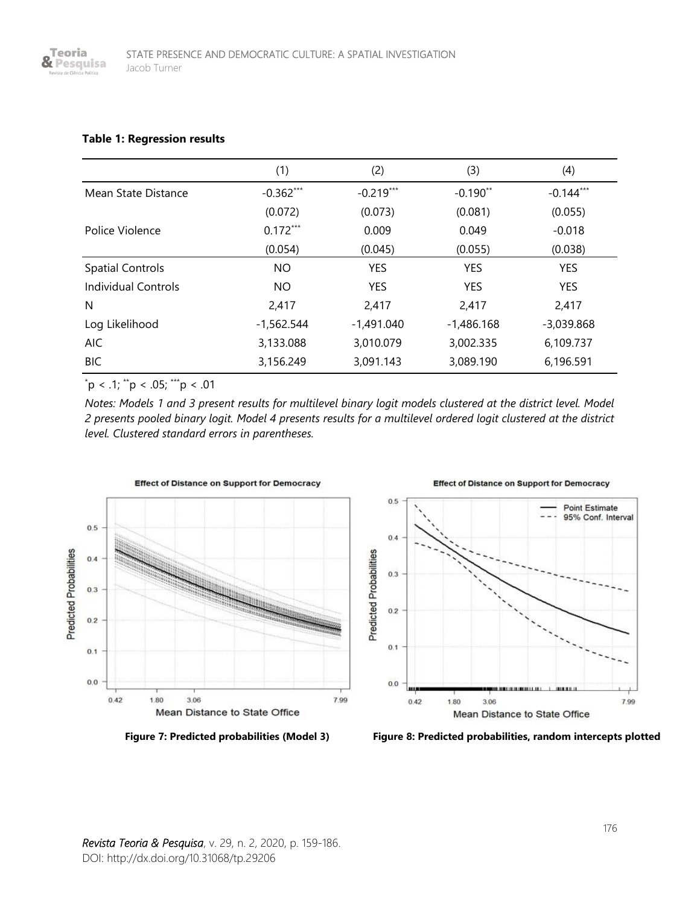#### **Table 1: Regression results**

|                         | (1)          | (2)          | (3)          | (4)          |
|-------------------------|--------------|--------------|--------------|--------------|
| Mean State Distance     | $-0.362***$  | $-0.219***$  | $-0.190**$   | $-0.144***$  |
|                         | (0.072)      | (0.073)      | (0.081)      | (0.055)      |
| Police Violence         | $0.172***$   | 0.009        | 0.049        | $-0.018$     |
|                         | (0.054)      | (0.045)      | (0.055)      | (0.038)      |
| <b>Spatial Controls</b> | <b>NO</b>    | <b>YES</b>   | <b>YES</b>   | <b>YES</b>   |
| Individual Controls     | <b>NO</b>    | <b>YES</b>   | <b>YES</b>   | <b>YES</b>   |
| N                       | 2.417        | 2,417        | 2,417        | 2,417        |
| Log Likelihood          | $-1,562.544$ | $-1,491.040$ | $-1,486.168$ | $-3,039.868$ |
| <b>AIC</b>              | 3,133.088    | 3,010.079    | 3,002.335    | 6,109.737    |
| <b>BIC</b>              | 3,156.249    | 3,091.143    | 3,089.190    | 6,196.591    |

 $p < .1$ ; \*\*p < .05; \*\*\*p < .01

*Notes: Models 1 and 3 present results for multilevel binary logit models clustered at the district level. Model 2 presents pooled binary logit. Model 4 presents results for a multilevel ordered logit clustered at the district level. Clustered standard errors in parentheses.*





**Effect of Distance on Support for Democracy** 

 **Figure 7: Predicted probabilities (Model 3) Figure 8: Predicted probabilities, random intercepts plotted**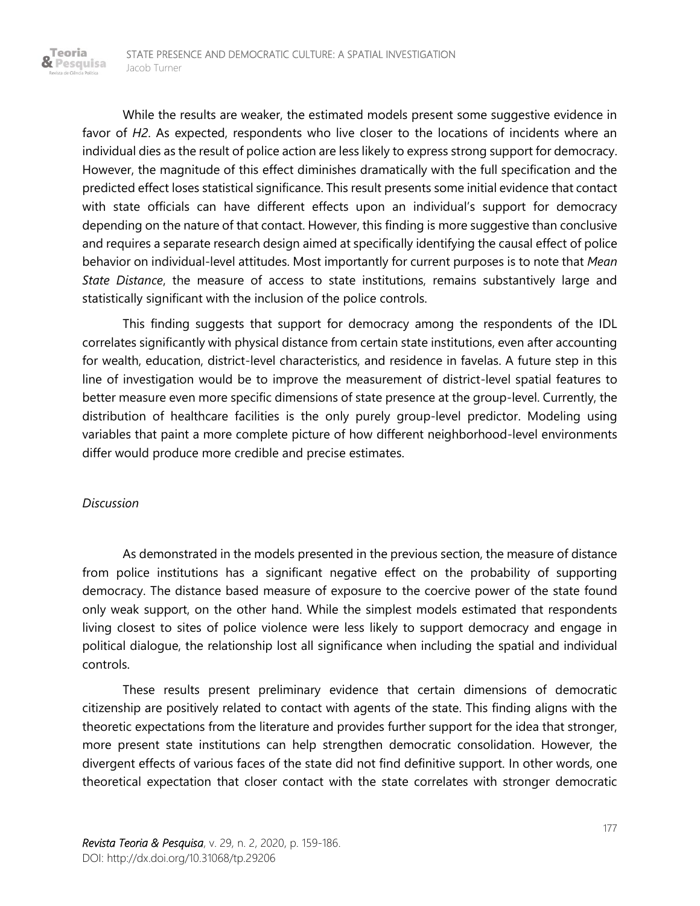While the results are weaker, the estimated models present some suggestive evidence in favor of *H2*. As expected, respondents who live closer to the locations of incidents where an individual dies as the result of police action are less likely to express strong support for democracy. However, the magnitude of this effect diminishes dramatically with the full specification and the predicted effect loses statistical significance. This result presents some initial evidence that contact with state officials can have different effects upon an individual's support for democracy depending on the nature of that contact. However, this finding is more suggestive than conclusive and requires a separate research design aimed at specifically identifying the causal effect of police behavior on individual-level attitudes. Most importantly for current purposes is to note that *Mean State Distance*, the measure of access to state institutions, remains substantively large and statistically significant with the inclusion of the police controls.

This finding suggests that support for democracy among the respondents of the IDL correlates significantly with physical distance from certain state institutions, even after accounting for wealth, education, district-level characteristics, and residence in favelas. A future step in this line of investigation would be to improve the measurement of district-level spatial features to better measure even more specific dimensions of state presence at the group-level. Currently, the distribution of healthcare facilities is the only purely group-level predictor. Modeling using variables that paint a more complete picture of how different neighborhood-level environments differ would produce more credible and precise estimates.

#### *Discussion*

Teoria & Pesquisa

> As demonstrated in the models presented in the previous section, the measure of distance from police institutions has a significant negative effect on the probability of supporting democracy. The distance based measure of exposure to the coercive power of the state found only weak support, on the other hand. While the simplest models estimated that respondents living closest to sites of police violence were less likely to support democracy and engage in political dialogue, the relationship lost all significance when including the spatial and individual controls.

> These results present preliminary evidence that certain dimensions of democratic citizenship are positively related to contact with agents of the state. This finding aligns with the theoretic expectations from the literature and provides further support for the idea that stronger, more present state institutions can help strengthen democratic consolidation. However, the divergent effects of various faces of the state did not find definitive support. In other words, one theoretical expectation that closer contact with the state correlates with stronger democratic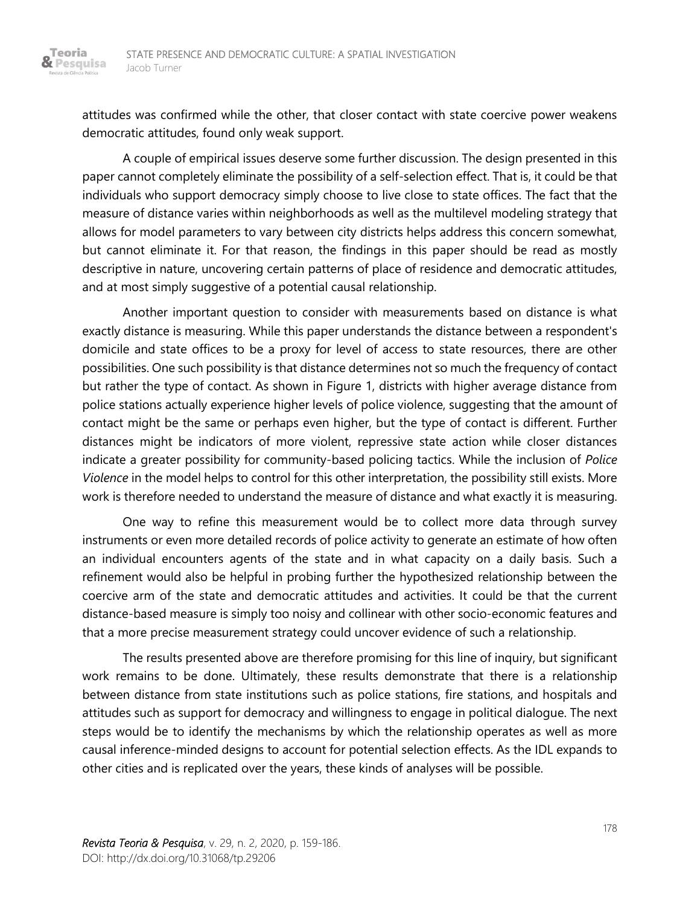Teoria & Pesquisa

> attitudes was confirmed while the other, that closer contact with state coercive power weakens democratic attitudes, found only weak support.

> A couple of empirical issues deserve some further discussion. The design presented in this paper cannot completely eliminate the possibility of a self-selection effect. That is, it could be that individuals who support democracy simply choose to live close to state offices. The fact that the measure of distance varies within neighborhoods as well as the multilevel modeling strategy that allows for model parameters to vary between city districts helps address this concern somewhat, but cannot eliminate it. For that reason, the findings in this paper should be read as mostly descriptive in nature, uncovering certain patterns of place of residence and democratic attitudes, and at most simply suggestive of a potential causal relationship.

> Another important question to consider with measurements based on distance is what exactly distance is measuring. While this paper understands the distance between a respondent's domicile and state offices to be a proxy for level of access to state resources, there are other possibilities. One such possibility is that distance determines not so much the frequency of contact but rather the type of contact. As shown in Figure 1, districts with higher average distance from police stations actually experience higher levels of police violence, suggesting that the amount of contact might be the same or perhaps even higher, but the type of contact is different. Further distances might be indicators of more violent, repressive state action while closer distances indicate a greater possibility for community-based policing tactics. While the inclusion of *Police Violence* in the model helps to control for this other interpretation, the possibility still exists. More work is therefore needed to understand the measure of distance and what exactly it is measuring.

> One way to refine this measurement would be to collect more data through survey instruments or even more detailed records of police activity to generate an estimate of how often an individual encounters agents of the state and in what capacity on a daily basis. Such a refinement would also be helpful in probing further the hypothesized relationship between the coercive arm of the state and democratic attitudes and activities. It could be that the current distance-based measure is simply too noisy and collinear with other socio-economic features and that a more precise measurement strategy could uncover evidence of such a relationship.

> The results presented above are therefore promising for this line of inquiry, but significant work remains to be done. Ultimately, these results demonstrate that there is a relationship between distance from state institutions such as police stations, fire stations, and hospitals and attitudes such as support for democracy and willingness to engage in political dialogue. The next steps would be to identify the mechanisms by which the relationship operates as well as more causal inference-minded designs to account for potential selection effects. As the IDL expands to other cities and is replicated over the years, these kinds of analyses will be possible.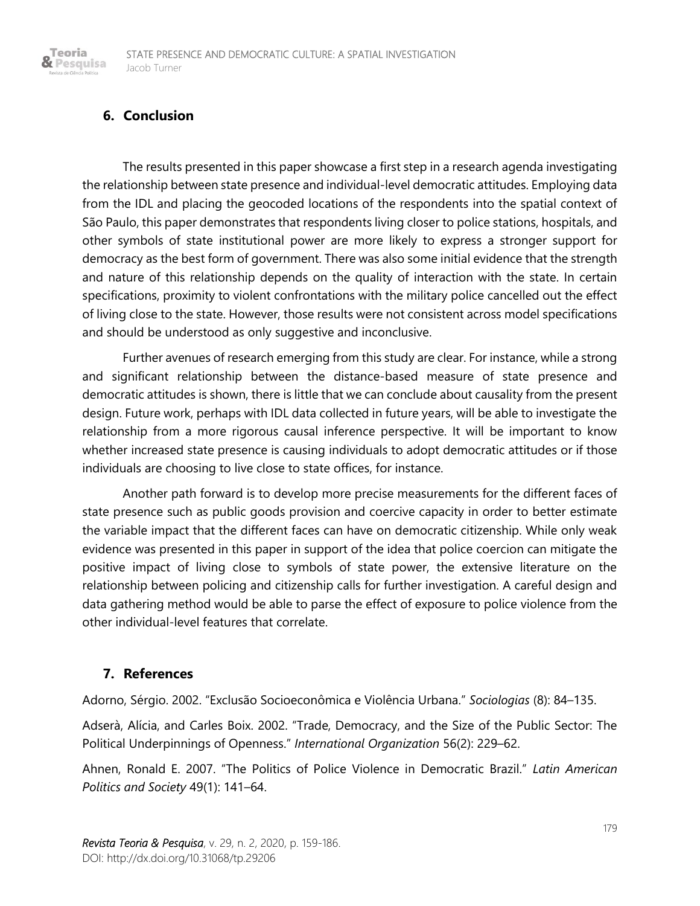# **6. Conclusion**

Teoria & Pesquisa

> The results presented in this paper showcase a first step in a research agenda investigating the relationship between state presence and individual-level democratic attitudes. Employing data from the IDL and placing the geocoded locations of the respondents into the spatial context of São Paulo, this paper demonstrates that respondents living closer to police stations, hospitals, and other symbols of state institutional power are more likely to express a stronger support for democracy as the best form of government. There was also some initial evidence that the strength and nature of this relationship depends on the quality of interaction with the state. In certain specifications, proximity to violent confrontations with the military police cancelled out the effect of living close to the state. However, those results were not consistent across model specifications and should be understood as only suggestive and inconclusive.

> Further avenues of research emerging from this study are clear. For instance, while a strong and significant relationship between the distance-based measure of state presence and democratic attitudes is shown, there is little that we can conclude about causality from the present design. Future work, perhaps with IDL data collected in future years, will be able to investigate the relationship from a more rigorous causal inference perspective. It will be important to know whether increased state presence is causing individuals to adopt democratic attitudes or if those individuals are choosing to live close to state offices, for instance.

> Another path forward is to develop more precise measurements for the different faces of state presence such as public goods provision and coercive capacity in order to better estimate the variable impact that the different faces can have on democratic citizenship. While only weak evidence was presented in this paper in support of the idea that police coercion can mitigate the positive impact of living close to symbols of state power, the extensive literature on the relationship between policing and citizenship calls for further investigation. A careful design and data gathering method would be able to parse the effect of exposure to police violence from the other individual-level features that correlate.

# **7. References**

Adorno, Sérgio. 2002. "Exclusão Socioeconômica e Violência Urbana." *Sociologias* (8): 84–135.

Adserà, Alícia, and Carles Boix. 2002. "Trade, Democracy, and the Size of the Public Sector: The Political Underpinnings of Openness." *International Organization* 56(2): 229–62.

Ahnen, Ronald E. 2007. "The Politics of Police Violence in Democratic Brazil." *Latin American Politics and Society* 49(1): 141–64.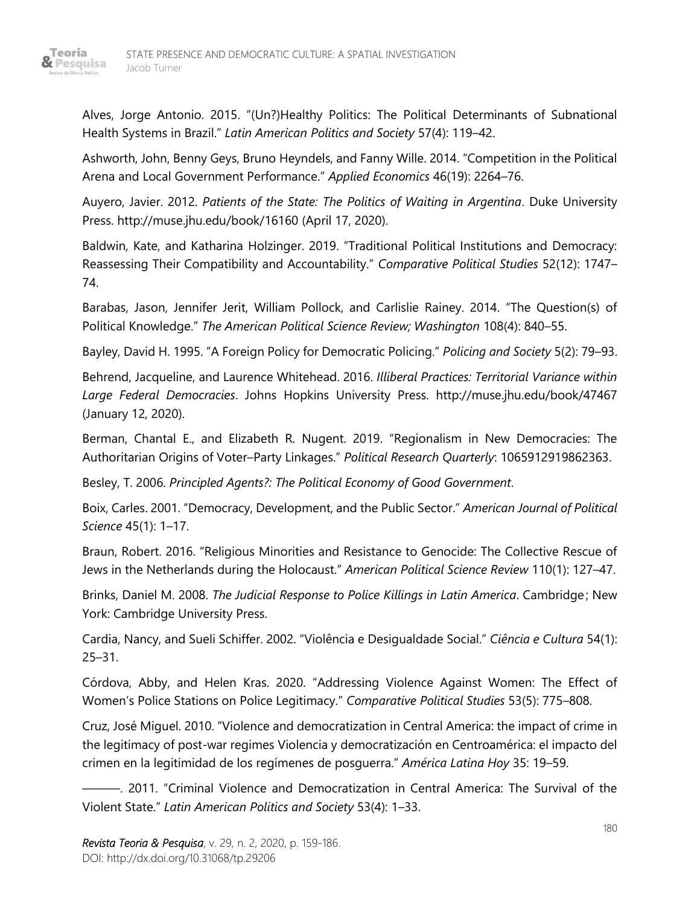

Alves, Jorge Antonio. 2015. "(Un?)Healthy Politics: The Political Determinants of Subnational Health Systems in Brazil." *Latin American Politics and Society* 57(4): 119–42.

Ashworth, John, Benny Geys, Bruno Heyndels, and Fanny Wille. 2014. "Competition in the Political Arena and Local Government Performance." *Applied Economics* 46(19): 2264–76.

Auyero, Javier. 2012. *Patients of the State: The Politics of Waiting in Argentina*. Duke University Press. http://muse.jhu.edu/book/16160 (April 17, 2020).

Baldwin, Kate, and Katharina Holzinger. 2019. "Traditional Political Institutions and Democracy: Reassessing Their Compatibility and Accountability." *Comparative Political Studies* 52(12): 1747– 74.

Barabas, Jason, Jennifer Jerit, William Pollock, and Carlislie Rainey. 2014. "The Question(s) of Political Knowledge." *The American Political Science Review; Washington* 108(4): 840–55.

Bayley, David H. 1995. "A Foreign Policy for Democratic Policing." *Policing and Society* 5(2): 79–93.

Behrend, Jacqueline, and Laurence Whitehead. 2016. *Illiberal Practices: Territorial Variance within Large Federal Democracies*. Johns Hopkins University Press. http://muse.jhu.edu/book/47467 (January 12, 2020).

Berman, Chantal E., and Elizabeth R. Nugent. 2019. "Regionalism in New Democracies: The Authoritarian Origins of Voter–Party Linkages." *Political Research Quarterly*: 1065912919862363.

Besley, T. 2006. *Principled Agents?: The Political Economy of Good Government*.

Boix, Carles. 2001. "Democracy, Development, and the Public Sector." *American Journal of Political Science* 45(1): 1–17.

Braun, Robert. 2016. "Religious Minorities and Resistance to Genocide: The Collective Rescue of Jews in the Netherlands during the Holocaust." *American Political Science Review* 110(1): 127–47.

Brinks, Daniel M. 2008. *The Judicial Response to Police Killings in Latin America*. Cambridge ; New York: Cambridge University Press.

Cardia, Nancy, and Sueli Schiffer. 2002. "Violência e Desigualdade Social." *Ciência e Cultura* 54(1): 25–31.

Córdova, Abby, and Helen Kras. 2020. "Addressing Violence Against Women: The Effect of Women's Police Stations on Police Legitimacy." *Comparative Political Studies* 53(5): 775–808.

Cruz, José Miguel. 2010. "Violence and democratization in Central America: the impact of crime in the legitimacy of post-war regimes Violencia y democratización en Centroamérica: el impacto del crimen en la legitimidad de los regímenes de posguerra." *América Latina Hoy* 35: 19–59.

———. 2011. "Criminal Violence and Democratization in Central America: The Survival of the Violent State." *Latin American Politics and Society* 53(4): 1–33.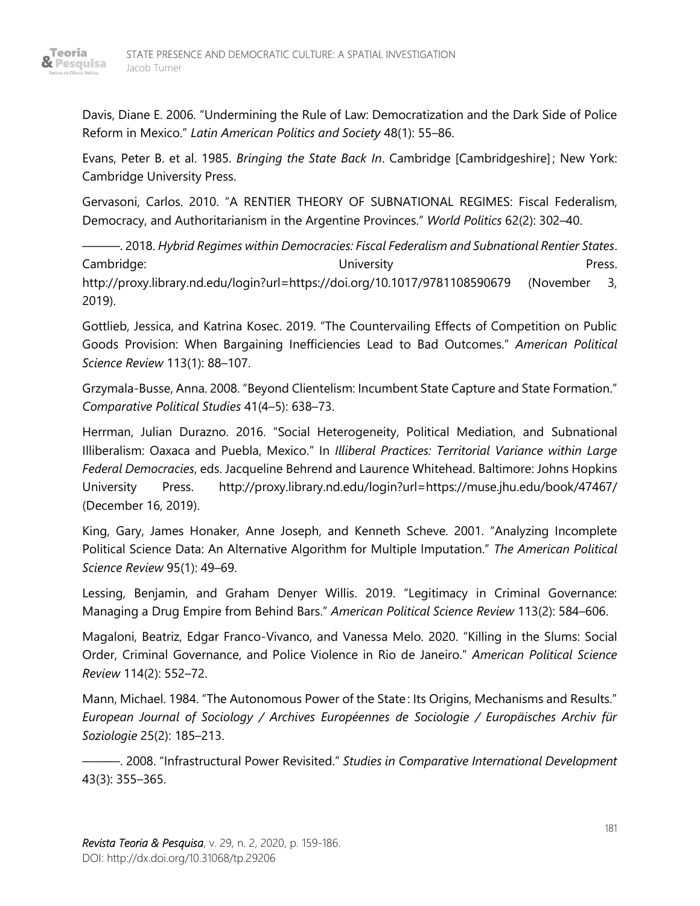

Davis, Diane E. 2006. "Undermining the Rule of Law: Democratization and the Dark Side of Police Reform in Mexico." *Latin American Politics and Society* 48(1): 55–86.

Evans, Peter B. et al. 1985. *Bringing the State Back In*. Cambridge [Cambridgeshire] ; New York: Cambridge University Press.

Gervasoni, Carlos. 2010. "A RENTIER THEORY OF SUBNATIONAL REGIMES: Fiscal Federalism, Democracy, and Authoritarianism in the Argentine Provinces." *World Politics* 62(2): 302–40.

———. 2018. *Hybrid Regimes within Democracies: Fiscal Federalism and Subnational Rentier States*. Cambridge: Cambridge: Cambridge: Cambridge: Cambridge: Cambridge: Cambridge: Cambridge: Cambridge: Cambridge: Cambridge: Cambridge: Cambridge: Cambridge: Cambridge: Cambridge: Cambridge: Cambridge: Cambridge: Cambridge: Ca http://proxy.library.nd.edu/login?url=https://doi.org/10.1017/9781108590679 (November 3, 2019).

Gottlieb, Jessica, and Katrina Kosec. 2019. "The Countervailing Effects of Competition on Public Goods Provision: When Bargaining Inefficiencies Lead to Bad Outcomes." *American Political Science Review* 113(1): 88–107.

Grzymala-Busse, Anna. 2008. "Beyond Clientelism: Incumbent State Capture and State Formation." *Comparative Political Studies* 41(4–5): 638–73.

Herrman, Julian Durazno. 2016. "Social Heterogeneity, Political Mediation, and Subnational Illiberalism: Oaxaca and Puebla, Mexico." In *Illiberal Practices: Territorial Variance within Large Federal Democracies*, eds. Jacqueline Behrend and Laurence Whitehead. Baltimore: Johns Hopkins University Press. http://proxy.library.nd.edu/login?url=https://muse.jhu.edu/book/47467/ (December 16, 2019).

King, Gary, James Honaker, Anne Joseph, and Kenneth Scheve. 2001. "Analyzing Incomplete Political Science Data: An Alternative Algorithm for Multiple Imputation." *The American Political Science Review* 95(1): 49–69.

Lessing, Benjamin, and Graham Denyer Willis. 2019. "Legitimacy in Criminal Governance: Managing a Drug Empire from Behind Bars." *American Political Science Review* 113(2): 584–606.

Magaloni, Beatriz, Edgar Franco-Vivanco, and Vanessa Melo. 2020. "Killing in the Slums: Social Order, Criminal Governance, and Police Violence in Rio de Janeiro." *American Political Science Review* 114(2): 552–72.

Mann, Michael. 1984. "The Autonomous Power of the State : Its Origins, Mechanisms and Results." *European Journal of Sociology / Archives Européennes de Sociologie / Europäisches Archiv für Soziologie* 25(2): 185–213.

———. 2008. "Infrastructural Power Revisited." *Studies in Comparative International Development* 43(3): 355–365.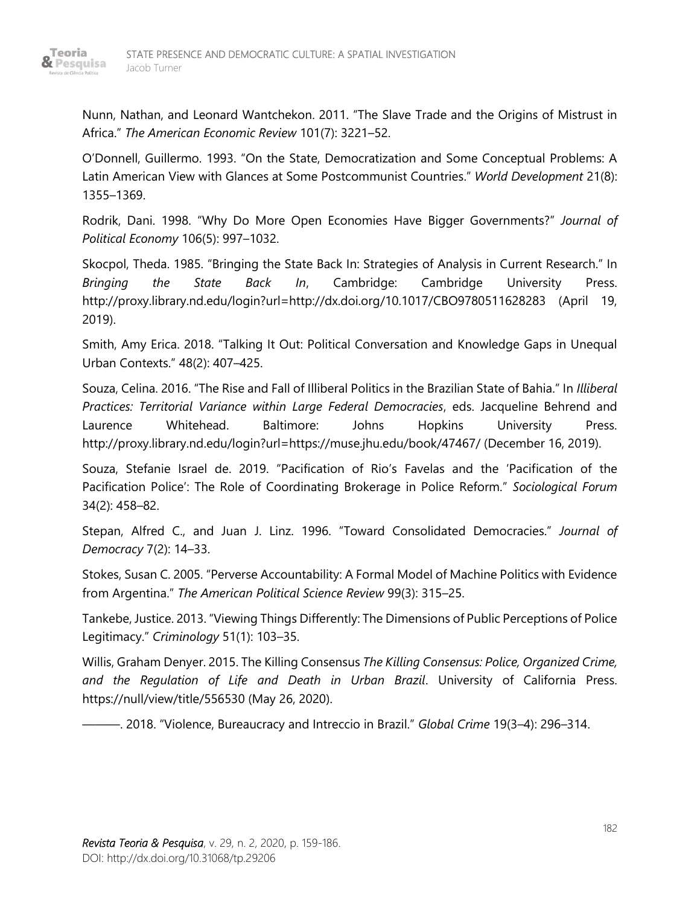

Nunn, Nathan, and Leonard Wantchekon. 2011. "The Slave Trade and the Origins of Mistrust in Africa." *The American Economic Review* 101(7): 3221–52.

O'Donnell, Guillermo. 1993. "On the State, Democratization and Some Conceptual Problems: A Latin American View with Glances at Some Postcommunist Countries." *World Development* 21(8): 1355–1369.

Rodrik, Dani. 1998. "Why Do More Open Economies Have Bigger Governments?" *Journal of Political Economy* 106(5): 997–1032.

Skocpol, Theda. 1985. "Bringing the State Back In: Strategies of Analysis in Current Research." In *Bringing the State Back In*, Cambridge: Cambridge University Press. http://proxy.library.nd.edu/login?url=http://dx.doi.org/10.1017/CBO9780511628283 (April 19, 2019).

Smith, Amy Erica. 2018. "Talking It Out: Political Conversation and Knowledge Gaps in Unequal Urban Contexts." 48(2): 407–425.

Souza, Celina. 2016. "The Rise and Fall of Illiberal Politics in the Brazilian State of Bahia." In *Illiberal Practices: Territorial Variance within Large Federal Democracies*, eds. Jacqueline Behrend and Laurence Whitehead. Baltimore: Johns Hopkins University Press. http://proxy.library.nd.edu/login?url=https://muse.jhu.edu/book/47467/ (December 16, 2019).

Souza, Stefanie Israel de. 2019. "Pacification of Rio's Favelas and the 'Pacification of the Pacification Police': The Role of Coordinating Brokerage in Police Reform." *Sociological Forum* 34(2): 458–82.

Stepan, Alfred C., and Juan J. Linz. 1996. "Toward Consolidated Democracies." *Journal of Democracy* 7(2): 14–33.

Stokes, Susan C. 2005. "Perverse Accountability: A Formal Model of Machine Politics with Evidence from Argentina." *The American Political Science Review* 99(3): 315–25.

Tankebe, Justice. 2013. "Viewing Things Differently: The Dimensions of Public Perceptions of Police Legitimacy." *Criminology* 51(1): 103–35.

Willis, Graham Denyer. 2015. The Killing Consensus *The Killing Consensus: Police, Organized Crime, and the Regulation of Life and Death in Urban Brazil*. University of California Press. https://null/view/title/556530 (May 26, 2020).

———. 2018. "Violence, Bureaucracy and Intreccio in Brazil." *Global Crime* 19(3–4): 296–314.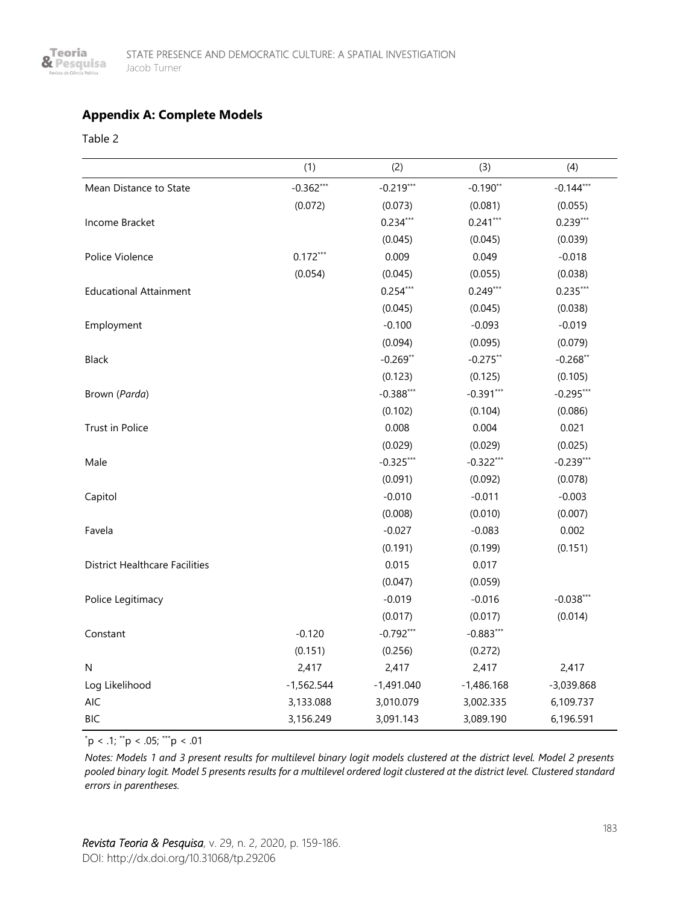

#### **Appendix A: Complete Models**

Table 2

|                                       | (1)          | (2)          | (3)          | (4)          |
|---------------------------------------|--------------|--------------|--------------|--------------|
| Mean Distance to State                | $-0.362***$  | $-0.219***$  | $-0.190**$   | $-0.144***$  |
|                                       | (0.072)      | (0.073)      | (0.081)      | (0.055)      |
| Income Bracket                        |              | $0.234***$   | $0.241***$   | $0.239***$   |
|                                       |              | (0.045)      | (0.045)      | (0.039)      |
| Police Violence                       | $0.172***$   | 0.009        | 0.049        | $-0.018$     |
|                                       | (0.054)      | (0.045)      | (0.055)      | (0.038)      |
| <b>Educational Attainment</b>         |              | $0.254***$   | $0.249***$   | $0.235***$   |
|                                       |              | (0.045)      | (0.045)      | (0.038)      |
| Employment                            |              | $-0.100$     | $-0.093$     | $-0.019$     |
|                                       |              | (0.094)      | (0.095)      | (0.079)      |
| Black                                 |              | $-0.269**$   | $-0.275**$   | $-0.268**$   |
|                                       |              | (0.123)      | (0.125)      | (0.105)      |
| Brown (Parda)                         |              | $-0.388***$  | $-0.391***$  | $-0.295***$  |
|                                       |              | (0.102)      | (0.104)      | (0.086)      |
| Trust in Police                       |              | 0.008        | 0.004        | 0.021        |
|                                       |              | (0.029)      | (0.029)      | (0.025)      |
| Male                                  |              | $-0.325***$  | $-0.322***$  | $-0.239***$  |
|                                       |              | (0.091)      | (0.092)      | (0.078)      |
| Capitol                               |              | $-0.010$     | $-0.011$     | $-0.003$     |
|                                       |              | (0.008)      | (0.010)      | (0.007)      |
| Favela                                |              | $-0.027$     | $-0.083$     | 0.002        |
|                                       |              | (0.191)      | (0.199)      | (0.151)      |
| <b>District Healthcare Facilities</b> |              | 0.015        | 0.017        |              |
|                                       |              | (0.047)      | (0.059)      |              |
| Police Legitimacy                     |              | $-0.019$     | $-0.016$     | $-0.038***$  |
|                                       |              | (0.017)      | (0.017)      | (0.014)      |
| Constant                              | $-0.120$     | $-0.792***$  | $-0.883***$  |              |
|                                       | (0.151)      | (0.256)      | (0.272)      |              |
| N                                     | 2,417        | 2,417        | 2,417        | 2,417        |
| Log Likelihood                        | $-1,562.544$ | $-1,491.040$ | $-1,486.168$ | $-3,039.868$ |
| <b>AIC</b>                            | 3,133.088    | 3,010.079    | 3,002.335    | 6,109.737    |
| <b>BIC</b>                            | 3,156.249    | 3,091.143    | 3,089.190    | 6,196.591    |

 $p < .1$ ; \*\*p < .05; \*\*\*p < .01

*Notes: Models 1 and 3 present results for multilevel binary logit models clustered at the district level. Model 2 presents pooled binary logit. Model 5 presents results for a multilevel ordered logit clustered at the district level. Clustered standard errors in parentheses.*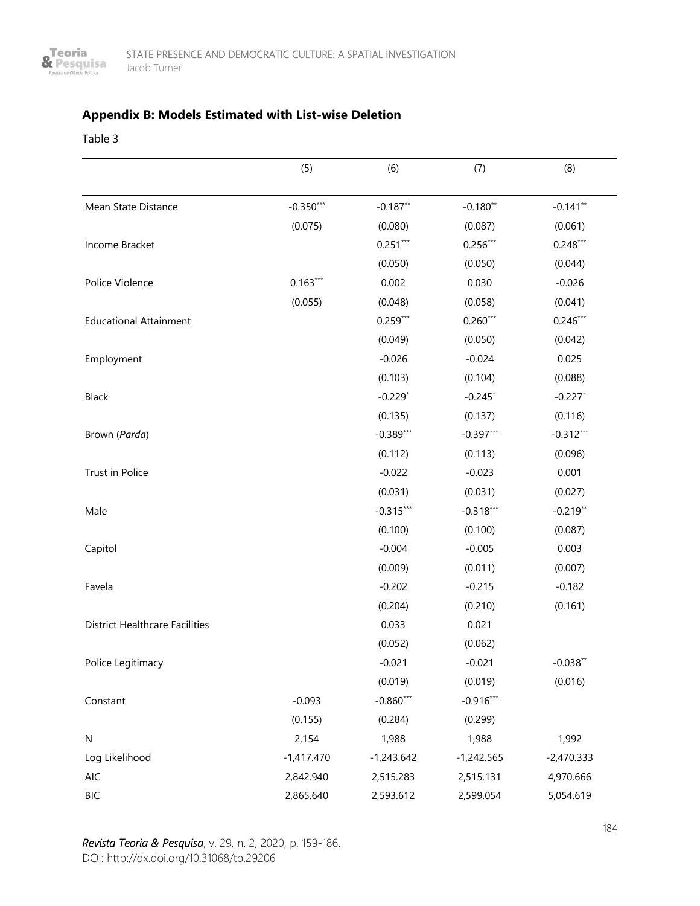

# **Appendix B: Models Estimated with List-wise Deletion**

Table 3

|                                       | (5)          | (6)          | (7)          | (8)          |
|---------------------------------------|--------------|--------------|--------------|--------------|
| Mean State Distance                   | $-0.350***$  | $-0.187**$   | $-0.180**$   | $-0.141**$   |
|                                       | (0.075)      | (0.080)      | (0.087)      | (0.061)      |
| Income Bracket                        |              | $0.251***$   | $0.256***$   | $0.248***$   |
|                                       |              | (0.050)      | (0.050)      | (0.044)      |
| Police Violence                       | $0.163***$   | 0.002        | 0.030        | $-0.026$     |
|                                       | (0.055)      | (0.048)      | (0.058)      | (0.041)      |
| <b>Educational Attainment</b>         |              | $0.259***$   | $0.260***$   | $0.246***$   |
|                                       |              | (0.049)      | (0.050)      | (0.042)      |
| Employment                            |              | $-0.026$     | $-0.024$     | 0.025        |
|                                       |              | (0.103)      | (0.104)      | (0.088)      |
| Black                                 |              | $-0.229*$    | $-0.245$ *   | $-0.227$ *   |
|                                       |              | (0.135)      | (0.137)      | (0.116)      |
| Brown (Parda)                         |              | $-0.389***$  | $-0.397***$  | $-0.312***$  |
|                                       |              | (0.112)      | (0.113)      | (0.096)      |
| Trust in Police                       |              | $-0.022$     | $-0.023$     | 0.001        |
|                                       |              | (0.031)      | (0.031)      | (0.027)      |
| Male                                  |              | $-0.315***$  | $-0.318***$  | $-0.219**$   |
|                                       |              | (0.100)      | (0.100)      | (0.087)      |
| Capitol                               |              | $-0.004$     | $-0.005$     | 0.003        |
|                                       |              | (0.009)      | (0.011)      | (0.007)      |
| Favela                                |              | $-0.202$     | $-0.215$     | $-0.182$     |
|                                       |              | (0.204)      | (0.210)      | (0.161)      |
| <b>District Healthcare Facilities</b> |              | 0.033        | 0.021        |              |
|                                       |              | (0.052)      | (0.062)      |              |
| Police Legitimacy                     |              | $-0.021$     | $-0.021$     | $-0.038**$   |
|                                       |              | (0.019)      | (0.019)      | (0.016)      |
| Constant                              | $-0.093$     | $-0.860***$  | $-0.916***$  |              |
|                                       | (0.155)      | (0.284)      | (0.299)      |              |
| N                                     | 2,154        | 1,988        | 1,988        | 1,992        |
| Log Likelihood                        | $-1,417.470$ | $-1,243.642$ | $-1,242.565$ | $-2,470.333$ |
| AIC                                   | 2,842.940    | 2,515.283    | 2,515.131    | 4,970.666    |
| <b>BIC</b>                            | 2,865.640    | 2,593.612    | 2,599.054    | 5,054.619    |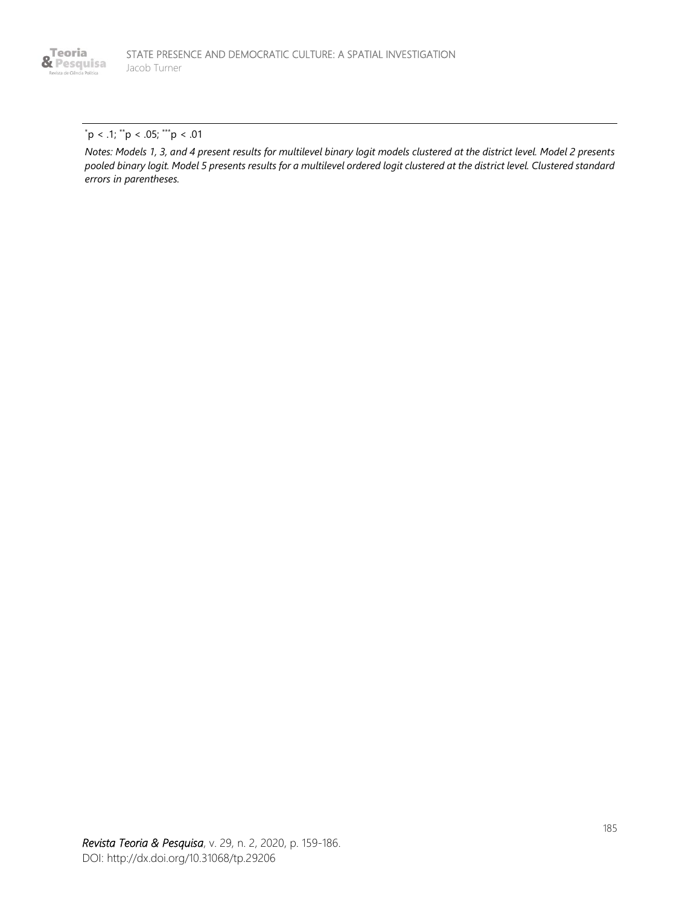

#### $p < .1$ ; \*\*p < .05; \*\*\*p < .01

*Notes: Models 1, 3, and 4 present results for multilevel binary logit models clustered at the district level. Model 2 presents pooled binary logit. Model 5 presents results for a multilevel ordered logit clustered at the district level. Clustered standard errors in parentheses.*